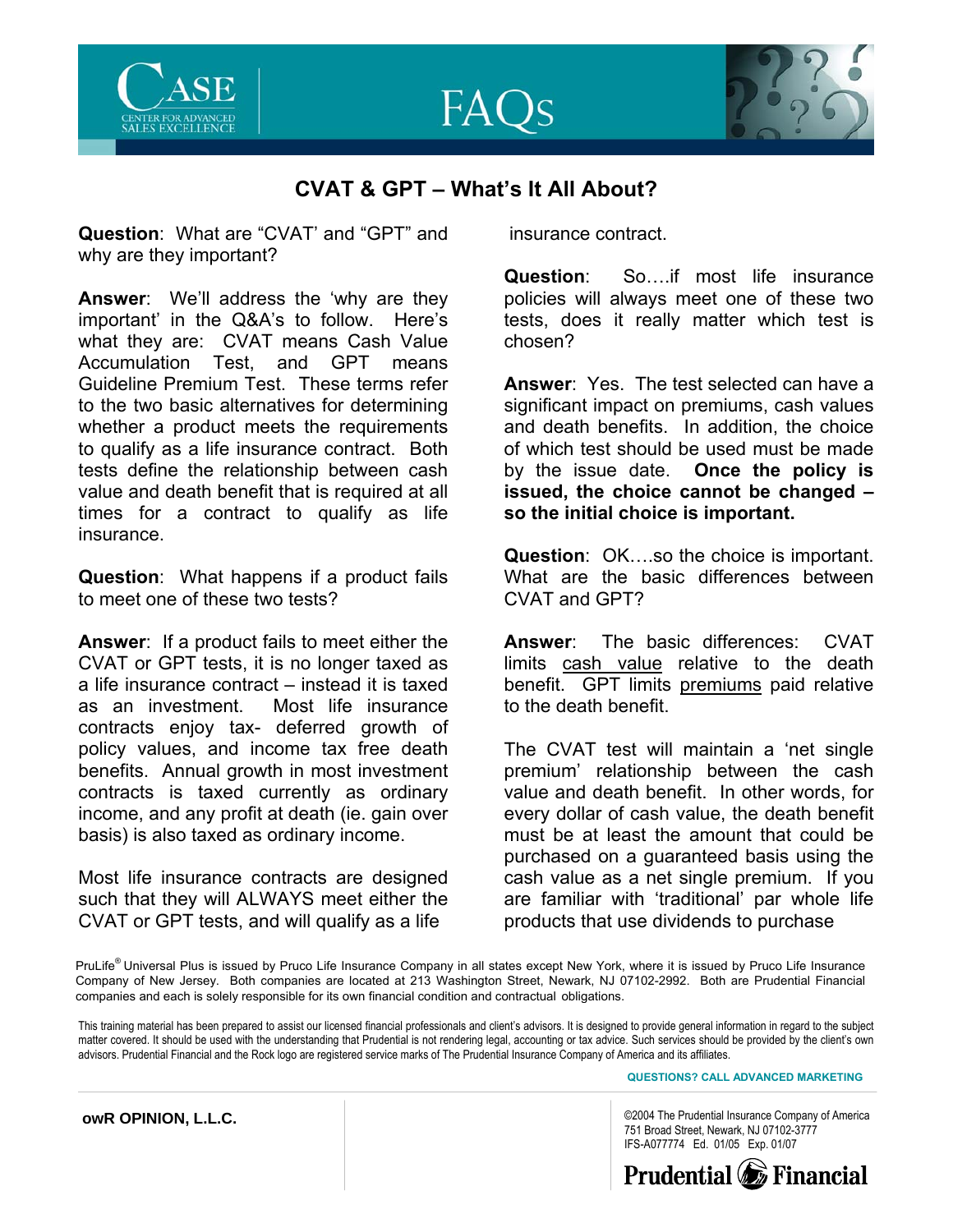



## **CVAT & GPT – What's It All About?**

**Question**: What are "CVAT' and "GPT" and why are they important?

**Answer**: We'll address the 'why are they important' in the Q&A's to follow. Here's what they are: CVAT means Cash Value Accumulation Test, and GPT means Guideline Premium Test. These terms refer to the two basic alternatives for determining whether a product meets the requirements to qualify as a life insurance contract. Both tests define the relationship between cash value and death benefit that is required at all times for a contract to qualify as life insurance.

**Question**: What happens if a product fails to meet one of these two tests?

**Answer**: If a product fails to meet either the CVAT or GPT tests, it is no longer taxed as a life insurance contract – instead it is taxed as an investment. Most life insurance contracts enjoy tax- deferred growth of policy values, and income tax free death benefits. Annual growth in most investment contracts is taxed currently as ordinary income, and any profit at death (ie. gain over basis) is also taxed as ordinary income.

Most life insurance contracts are designed such that they will ALWAYS meet either the CVAT or GPT tests, and will qualify as a life

insurance contract.

**Question**: So….if most life insurance policies will always meet one of these two tests, does it really matter which test is chosen?

**Answer**: Yes. The test selected can have a significant impact on premiums, cash values and death benefits. In addition, the choice of which test should be used must be made by the issue date. **Once the policy is issued, the choice cannot be changed – so the initial choice is important.** 

**Question**: OK….so the choice is important. What are the basic differences between CVAT and GPT?

**Answer**: The basic differences: CVAT limits cash value relative to the death benefit. GPT limits premiums paid relative to the death benefit.

The CVAT test will maintain a 'net single premium' relationship between the cash value and death benefit. In other words, for every dollar of cash value, the death benefit must be at least the amount that could be purchased on a guaranteed basis using the cash value as a net single premium. If you are familiar with 'traditional' par whole life products that use dividends to purchase

PruLife<sup>®</sup> Universal Plus is issued by Pruco Life Insurance Company in all states except New York, where it is issued by Pruco Life Insurance Company of New Jersey. Both companies are located at 213 Washington Street, Newark, NJ 07102-2992. Both are Prudential Financial companies and each is solely responsible for its own financial condition and contractual obligations.

This training material has been prepared to assist our licensed financial professionals and client's advisors. It is designed to provide general information in regard to the subject matter covered. It should be used with the understanding that Prudential is not rendering legal, accounting or tax advice. Such services should be provided by the client's own advisors. Prudential Financial and the Rock logo are registered service marks of The Prudential Insurance Company of America and its affiliates.

**QUESTIONS? CALL ADVANCED MARKETING** 

©2004 The Prudential Insurance Company of America 751 Broad Street, Newark, NJ 07102-3777 IFS-A077774 Ed. 01/05 Exp. 01/07



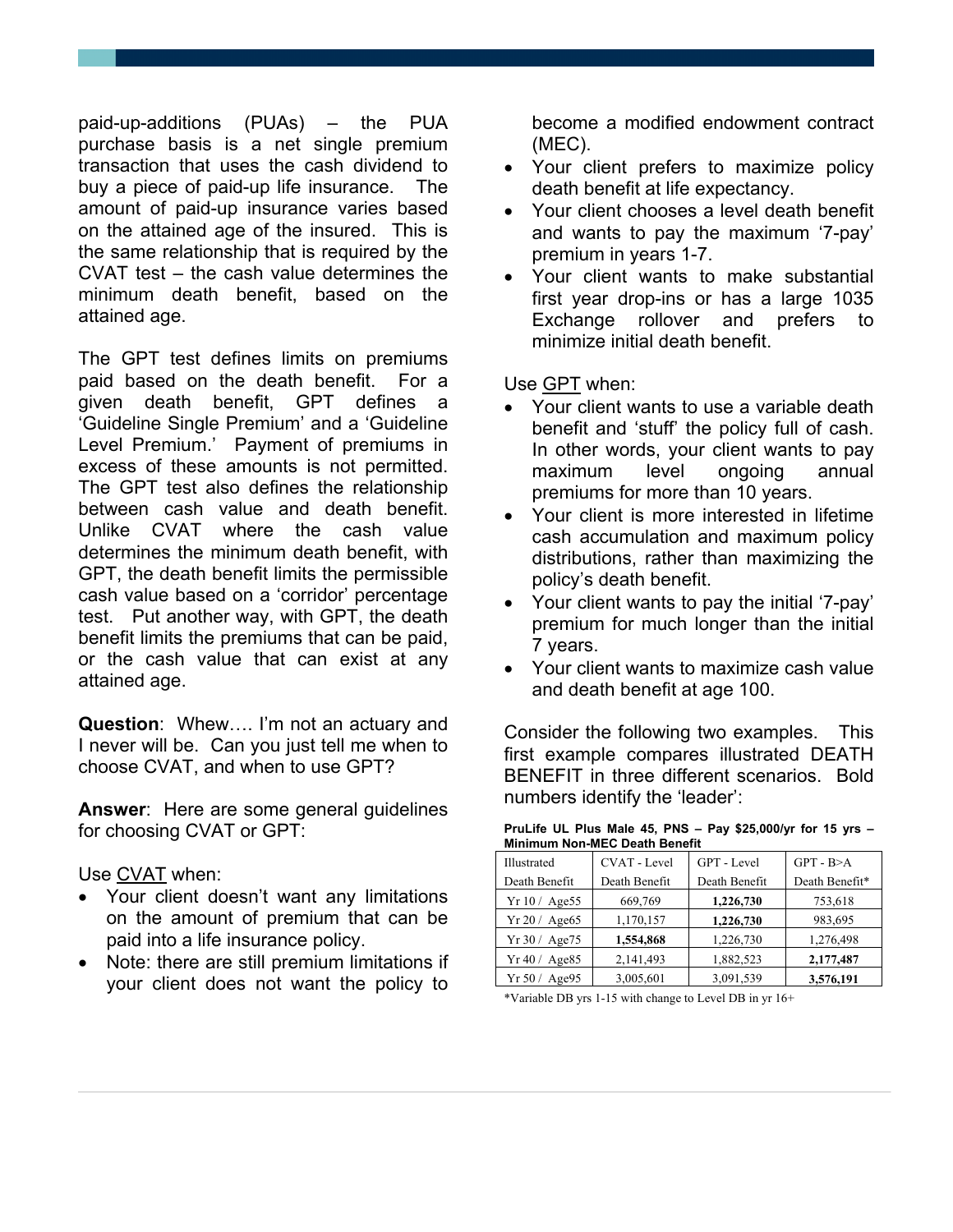paid-up-additions (PUAs) – the PUA purchase basis is a net single premium transaction that uses the cash dividend to buy a piece of paid-up life insurance. The amount of paid-up insurance varies based on the attained age of the insured. This is the same relationship that is required by the CVAT test – the cash value determines the minimum death benefit, based on the attained age.

The GPT test defines limits on premiums paid based on the death benefit. For a given death benefit, GPT defines a 'Guideline Single Premium' and a 'Guideline Level Premium.' Payment of premiums in excess of these amounts is not permitted. The GPT test also defines the relationship between cash value and death benefit. Unlike CVAT where the cash value determines the minimum death benefit, with GPT, the death benefit limits the permissible cash value based on a 'corridor' percentage test. Put another way, with GPT, the death benefit limits the premiums that can be paid, or the cash value that can exist at any attained age.

**Question**: Whew…. I'm not an actuary and I never will be. Can you just tell me when to choose CVAT, and when to use GPT?

**Answer**: Here are some general guidelines for choosing CVAT or GPT:

Use CVAT when:

- Your client doesn't want any limitations on the amount of premium that can be paid into a life insurance policy.
- Note: there are still premium limitations if your client does not want the policy to

become a modified endowment contract (MEC).

- Your client prefers to maximize policy death benefit at life expectancy.
- Your client chooses a level death benefit and wants to pay the maximum '7-pay' premium in years 1-7.
- Your client wants to make substantial first year drop-ins or has a large 1035 Exchange rollover and prefers to minimize initial death benefit.

Use GPT when:

- Your client wants to use a variable death benefit and 'stuff' the policy full of cash. In other words, your client wants to pay maximum level ongoing annual premiums for more than 10 years.
- Your client is more interested in lifetime cash accumulation and maximum policy distributions, rather than maximizing the policy's death benefit.
- Your client wants to pay the initial '7-pay' premium for much longer than the initial 7 years.
- Your client wants to maximize cash value and death benefit at age 100.

Consider the following two examples. This first example compares illustrated DEATH BENEFIT in three different scenarios. Bold numbers identify the 'leader':

| Minimum Non-MEC Death Benefit |                     |               |                |  |
|-------------------------------|---------------------|---------------|----------------|--|
| Illustrated                   | <b>CVAT</b> - Level | GPT - Level   | $GPT - B > A$  |  |
| Death Benefit                 | Death Benefit       | Death Benefit | Death Benefit* |  |
| Yr10/Age55                    | 669,769             | 1,226,730     | 753,618        |  |
| Yr 20 / Age65                 | 1,170,157           | 1,226,730     | 983,695        |  |
| Yr 30 / Age75                 | 1,554,868           | 1,226,730     | 1,276,498      |  |
| Yr 40 / Age85                 | 2,141,493           | 1,882,523     | 2,177,487      |  |
| Yr 50/<br>Age95               | 3,005,601           | 3,091,539     | 3,576,191      |  |

**PruLife UL Plus Male 45, PNS – Pay \$25,000/yr for 15 yrs – Minimum Non-MEC Death Benefit** 

\*Variable DB yrs 1-15 with change to Level DB in yr 16+